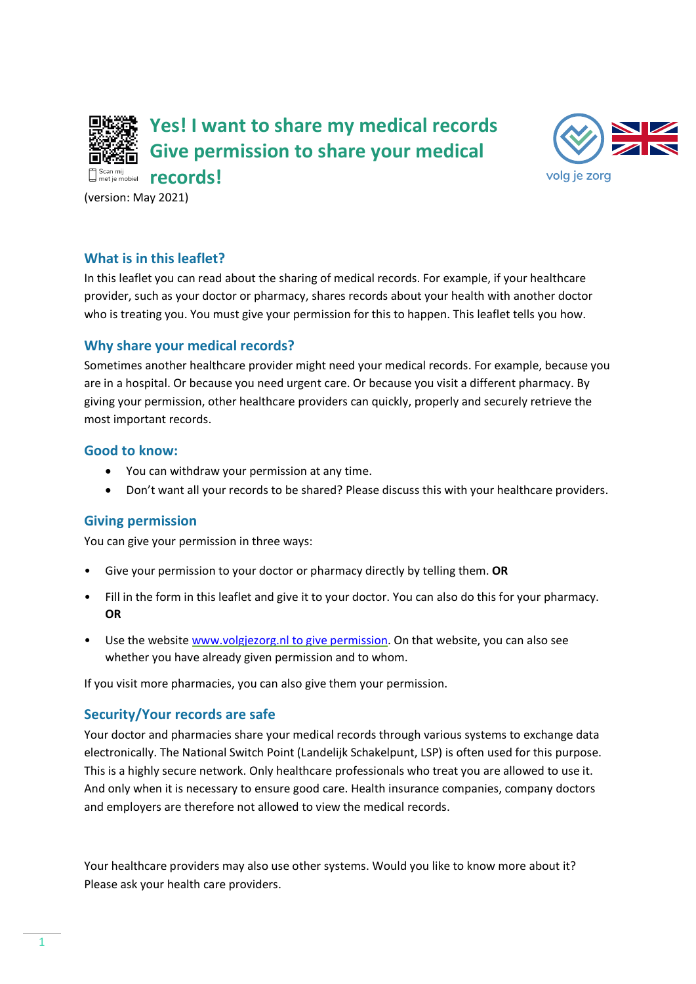

**Yes! I want to share my medical records Give permission to share your medical** 



(version: May 2021)

# **What is in this leaflet?**

In this leaflet you can read about the sharing of medical records. For example, if your healthcare provider, such as your doctor or pharmacy, shares records about your health with another doctor who is treating you. You must give your permission for this to happen. This leaflet tells you how.

# **Why share your medical records?**

Sometimes another healthcare provider might need your medical records. For example, because you are in a hospital. Or because you need urgent care. Or because you visit a different pharmacy. By giving your permission, other healthcare providers can quickly, properly and securely retrieve the most important records.

## **Good to know:**

- You can withdraw your permission at any time.
- Don't want all your records to be shared? Please discuss this with your healthcare providers.

## **Giving permission**

You can give your permission in three ways:

- Give your permission to your doctor or pharmacy directly by telling them. **OR**
- Fill in the form in this leaflet and give it to your doctor. You can also do this for your pharmacy. **OR**
- Use the website [www.volgjezorg.nl](http://www.volgjezorg.nl/) to give permission. On that website, you can also see whether you have already given permission and to whom.

If you visit more pharmacies, you can also give them your permission.

# **Security/Your records are safe**

Your doctor and pharmacies share your medical records through various systems to exchange data electronically. The National Switch Point (Landelijk Schakelpunt, LSP) is often used for this purpose. This is a highly secure network. Only healthcare professionals who treat you are allowed to use it. And only when it is necessary to ensure good care. Health insurance companies, company doctors and employers are therefore not allowed to view the medical records.

Your healthcare providers may also use other systems. Would you like to know more about it? Please ask your health care providers.